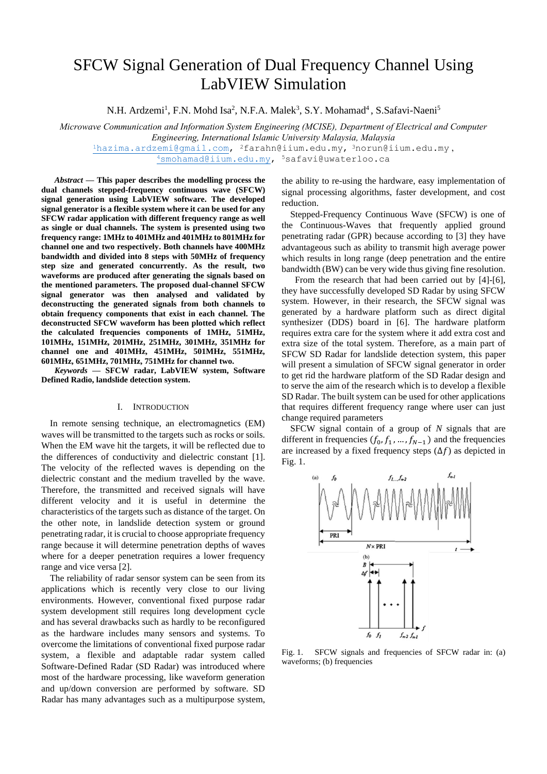# SFCW Signal Generation of Dual Frequency Channel Using LabVIEW Simulation

N.H. Ardzemi<sup>1</sup>, F.N. Mohd Isa<sup>2</sup>, N.F.A. Malek<sup>3</sup>, S.Y. Mohamad<sup>4</sup>, S.Safavi-Naeni<sup>5</sup>

*Microwave Communication and Information System Engineering (MCISE), Department of Electrical and Computer Engineering, International Islamic University Malaysia, Malaysia* <sup>1</sup>[hazima.ardzemi@gmail.com,](mailto:1hazima.ardzemi@gmail.com) 2farahn@iium.edu.my, <sup>3</sup>norun@iium.edu.my , <sup>4</sup>[smohamad@iium.edu.my,](mailto:4smohamad@iium.edu.my) 5safavi@uwaterloo.ca

*Abstract* **— This paper describes the modelling process the dual channels stepped-frequency continuous wave (SFCW) signal generation using LabVIEW software. The developed signal generator is a flexible system where it can be used for any SFCW radar application with different frequency range as well as single or dual channels. The system is presented using two frequency range: 1MHz to 401MHz and 401MHz to 801MHz for channel one and two respectively. Both channels have 400MHz bandwidth and divided into 8 steps with 50MHz of frequency step size and generated concurrently. As the result, two waveforms are produced after generating the signals based on the mentioned parameters. The proposed dual-channel SFCW signal generator was then analysed and validated by deconstructing the generated signals from both channels to obtain frequency components that exist in each channel. The deconstructed SFCW waveform has been plotted which reflect the calculated frequencies components of 1MHz, 51MHz, 101MHz, 151MHz, 201MHz, 251MHz, 301MHz, 351MHz for channel one and 401MHz, 451MHz, 501MHz, 551MHz, 601MHz, 651MHz, 701MHz, 751MHz for channel two.**

*Keywords* **— SFCW radar, LabVIEW system, Software Defined Radio, landslide detection system.**

## I. INTRODUCTION

In remote sensing technique, an electromagnetics (EM) waves will be transmitted to the targets such as rocks or soils. When the EM wave hit the targets, it will be reflected due to the differences of conductivity and dielectric constant [1]. The velocity of the reflected waves is depending on the dielectric constant and the medium travelled by the wave. Therefore, the transmitted and received signals will have different velocity and it is useful in determine the characteristics of the targets such as distance of the target. On the other note, in landslide detection system or ground penetrating radar, it is crucial to choose appropriate frequency range because it will determine penetration depths of waves where for a deeper penetration requires a lower frequency range and vice versa [2].

The reliability of radar sensor system can be seen from its applications which is recently very close to our living environments. However, conventional fixed purpose radar system development still requires long development cycle and has several drawbacks such as hardly to be reconfigured as the hardware includes many sensors and systems. To overcome the limitations of conventional fixed purpose radar system, a flexible and adaptable radar system called Software-Defined Radar (SD Radar) was introduced where most of the hardware processing, like waveform generation and up/down conversion are performed by software. SD Radar has many advantages such as a multipurpose system,

the ability to re-using the hardware, easy implementation of signal processing algorithms, faster development, and cost reduction.

Stepped-Frequency Continuous Wave (SFCW) is one of the Continuous-Waves that frequently applied ground penetrating radar (GPR) because according to [3] they have advantageous such as ability to transmit high average power which results in long range (deep penetration and the entire bandwidth (BW) can be very wide thus giving fine resolution.

From the research that had been carried out by [4]-[6], they have successfully developed SD Radar by using SFCW system. However, in their research, the SFCW signal was generated by a hardware platform such as direct digital synthesizer (DDS) board in [6]. The hardware platform requires extra care for the system where it add extra cost and extra size of the total system. Therefore, as a main part of SFCW SD Radar for landslide detection system, this paper will present a simulation of SFCW signal generator in order to get rid the hardware platform of the SD Radar design and to serve the aim of the research which is to develop a flexible SD Radar. The built system can be used for other applications that requires different frequency range where user can just change required parameters

SFCW signal contain of a group of *N* signals that are different in frequencies  $(f_0, f_1, ..., f_{N-1})$  and the frequencies are increased by a fixed frequency steps  $(\Delta f)$  as depicted in Fig. 1.



Fig. 1. SFCW signals and frequencies of SFCW radar in: (a) waveforms; (b) frequencies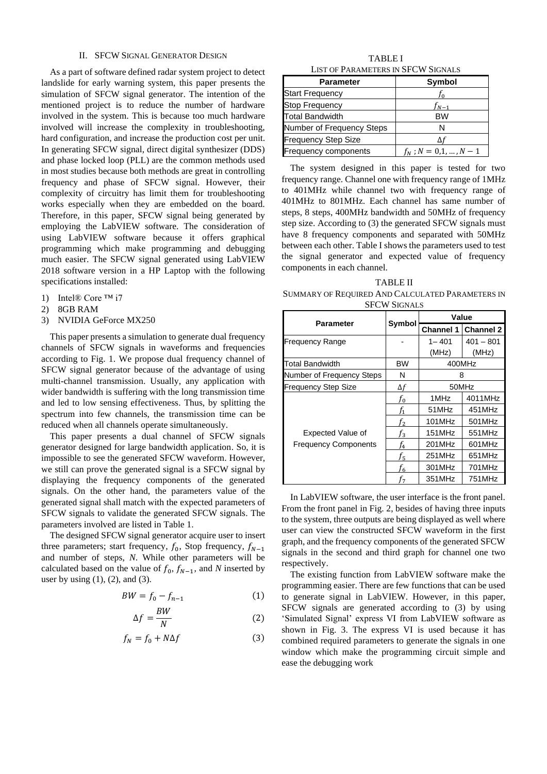## II. SFCW SIGNAL GENERATOR DESIGN

As a part of software defined radar system project to detect landslide for early warning system, this paper presents the simulation of SFCW signal generator. The intention of the mentioned project is to reduce the number of hardware involved in the system. This is because too much hardware involved will increase the complexity in troubleshooting, hard configuration, and increase the production cost per unit. In generating SFCW signal, direct digital synthesizer (DDS) and phase locked loop (PLL) are the common methods used in most studies because both methods are great in controlling frequency and phase of SFCW signal. However, their complexity of circuitry has limit them for troubleshooting works especially when they are embedded on the board. Therefore, in this paper, SFCW signal being generated by employing the LabVIEW software. The consideration of using LabVIEW software because it offers graphical programming which make programming and debugging much easier. The SFCW signal generated using LabVIEW 2018 software version in a HP Laptop with the following specifications installed:

- 1) Intel® Core ™ i7
- 2) 8GB RAM
- 3) NVIDIA GeForce MX250

This paper presents a simulation to generate dual frequency channels of SFCW signals in waveforms and frequencies according to Fig. 1. We propose dual frequency channel of SFCW signal generator because of the advantage of using multi-channel transmission. Usually, any application with wider bandwidth is suffering with the long transmission time and led to low sensing effectiveness. Thus, by splitting the spectrum into few channels, the transmission time can be reduced when all channels operate simultaneously.

This paper presents a dual channel of SFCW signals generator designed for large bandwidth application. So, it is impossible to see the generated SFCW waveform. However, we still can prove the generated signal is a SFCW signal by displaying the frequency components of the generated signals. On the other hand, the parameters value of the generated signal shall match with the expected parameters of SFCW signals to validate the generated SFCW signals. The parameters involved are listed in Table 1.

The designed SFCW signal generator acquire user to insert three parameters; start frequency,  $f_0$ , Stop frequency,  $f_{N-1}$ and number of steps, *N*. While other parameters will be calculated based on the value of  $f_0$ ,  $f_{N-1}$ , and *N* inserted by user by using  $(1)$ ,  $(2)$ , and  $(3)$ .

$$
BW = f_0 - f_{n-1} \tag{1}
$$

$$
\Delta f = \frac{BW}{N} \tag{2}
$$

$$
f_N = f_0 + N\Delta f \tag{3}
$$

TABLE I LIST OF PARAMETERS IN SFCW SIGNALS

| <b>Parameter</b>            | Symbol                 |
|-----------------------------|------------------------|
| <b>Start Frequency</b>      | I٥                     |
| <b>Stop Frequency</b>       | $f_{N-1}$              |
| <b>Total Bandwidth</b>      | <b>BW</b>              |
| Number of Frequency Steps   | N                      |
| <b>Frequency Step Size</b>  |                        |
| <b>Frequency components</b> | $f_N$ ; $N = 0,1,,N-1$ |

The system designed in this paper is tested for two frequency range. Channel one with frequency range of 1MHz to 401MHz while channel two with frequency range of 401MHz to 801MHz. Each channel has same number of steps, 8 steps, 400MHz bandwidth and 50MHz of frequency step size. According to (3) the generated SFCW signals must have 8 frequency components and separated with 50MHz between each other. Table I shows the parameters used to test the signal generator and expected value of frequency components in each channel.

TABLE II SUMMARY OF REQUIRED AND CALCULATED PARAMETERS IN SFCW SIGNALS

|                                                         |                  | Value            |                  |  |  |  |
|---------------------------------------------------------|------------------|------------------|------------------|--|--|--|
| Parameter                                               | Symbol           | <b>Channel 1</b> | <b>Channel 2</b> |  |  |  |
| Frequency Range                                         |                  | $1 - 401$        | $401 - 801$      |  |  |  |
|                                                         |                  | (MHz)            | (MHz)            |  |  |  |
| Total Bandwidth                                         | BW               |                  | 400MHz           |  |  |  |
| Number of Frequency Steps                               | N                |                  | 8                |  |  |  |
| <b>Frequency Step Size</b>                              | $\Delta f$       | 50MHz            |                  |  |  |  |
| <b>Expected Value of</b><br><b>Frequency Components</b> | $f_{\rm 0}$      | 1MHz             | 4011MHz          |  |  |  |
|                                                         | $f_{\mathbf{1}}$ | 51MHz            | 451MHz           |  |  |  |
|                                                         | $f_2$            | 101MHz           | 501MHz           |  |  |  |
|                                                         | $f_3$            | 151MHz           | 551MHz           |  |  |  |
|                                                         | f4               | 201MHz           | 601MHz           |  |  |  |
|                                                         | f5               | 251MHz           | 651MHz           |  |  |  |
|                                                         | f <sub>6</sub>   | 301MHz           | 701MHz           |  |  |  |
|                                                         | f7               | 351MHz           | 751MHz           |  |  |  |

In LabVIEW software, the user interface is the front panel. From the front panel in Fig. 2, besides of having three inputs to the system, three outputs are being displayed as well where user can view the constructed SFCW waveform in the first graph, and the frequency components of the generated SFCW signals in the second and third graph for channel one two respectively.

The existing function from LabVIEW software make the programming easier. There are few functions that can be used to generate signal in LabVIEW. However, in this paper, SFCW signals are generated according to (3) by using 'Simulated Signal' express VI from LabVIEW software as shown in Fig. 3. The express VI is used because it has combined required parameters to generate the signals in one window which make the programming circuit simple and ease the debugging work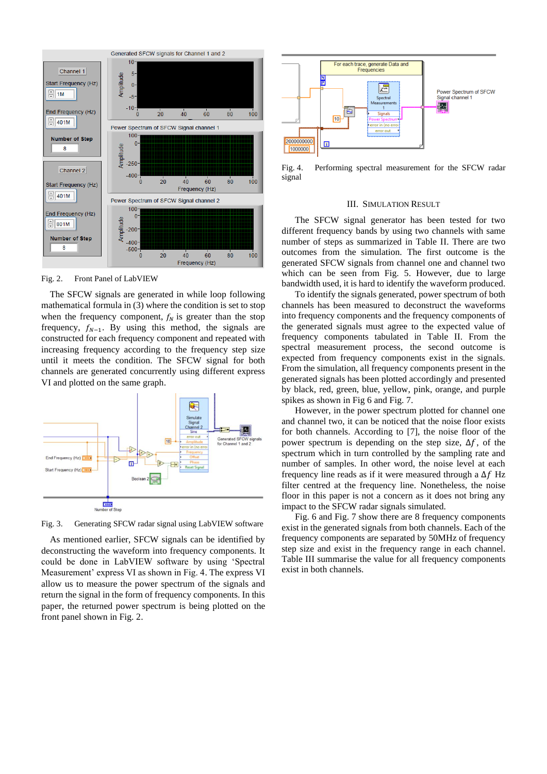

Fig. 2. Front Panel of LabVIEW

The SFCW signals are generated in while loop following mathematical formula in (3) where the condition is set to stop when the frequency component,  $f_N$  is greater than the stop frequency,  $f_{N-1}$ . By using this method, the signals are constructed for each frequency component and repeated with increasing frequency according to the frequency step size until it meets the condition. The SFCW signal for both channels are generated concurrently using different express VI and plotted on the same graph.



Fig. 3. Generating SFCW radar signal using LabVIEW software

As mentioned earlier, SFCW signals can be identified by deconstructing the waveform into frequency components. It could be done in LabVIEW software by using 'Spectral Measurement' express VI as shown in Fig. 4. The express VI allow us to measure the power spectrum of the signals and return the signal in the form of frequency components. In this paper, the returned power spectrum is being plotted on the front panel shown in Fig. 2.



Fig. 4. Performing spectral measurement for the SFCW radar signal

### III. SIMULATION RESULT

The SFCW signal generator has been tested for two different frequency bands by using two channels with same number of steps as summarized in Table II. There are two outcomes from the simulation. The first outcome is the generated SFCW signals from channel one and channel two which can be seen from Fig. 5. However, due to large bandwidth used, it is hard to identify the waveform produced.

To identify the signals generated, power spectrum of both channels has been measured to deconstruct the waveforms into frequency components and the frequency components of the generated signals must agree to the expected value of frequency components tabulated in Table II. From the spectral measurement process, the second outcome is expected from frequency components exist in the signals. From the simulation, all frequency components present in the generated signals has been plotted accordingly and presented by black, red, green, blue, yellow, pink, orange, and purple spikes as shown in Fig 6 and Fig. 7.

However, in the power spectrum plotted for channel one and channel two, it can be noticed that the noise floor exists for both channels. According to [7], the noise floor of the power spectrum is depending on the step size,  $\Delta f$ , of the spectrum which in turn controlled by the sampling rate and number of samples. In other word, the noise level at each frequency line reads as if it were measured through a  $\Delta f$  Hz filter centred at the frequency line. Nonetheless, the noise floor in this paper is not a concern as it does not bring any impact to the SFCW radar signals simulated.

Fig. 6 and Fig. 7 show there are 8 frequency components exist in the generated signals from both channels. Each of the frequency components are separated by 50MHz of frequency step size and exist in the frequency range in each channel. Table III summarise the value for all frequency components exist in both channels.